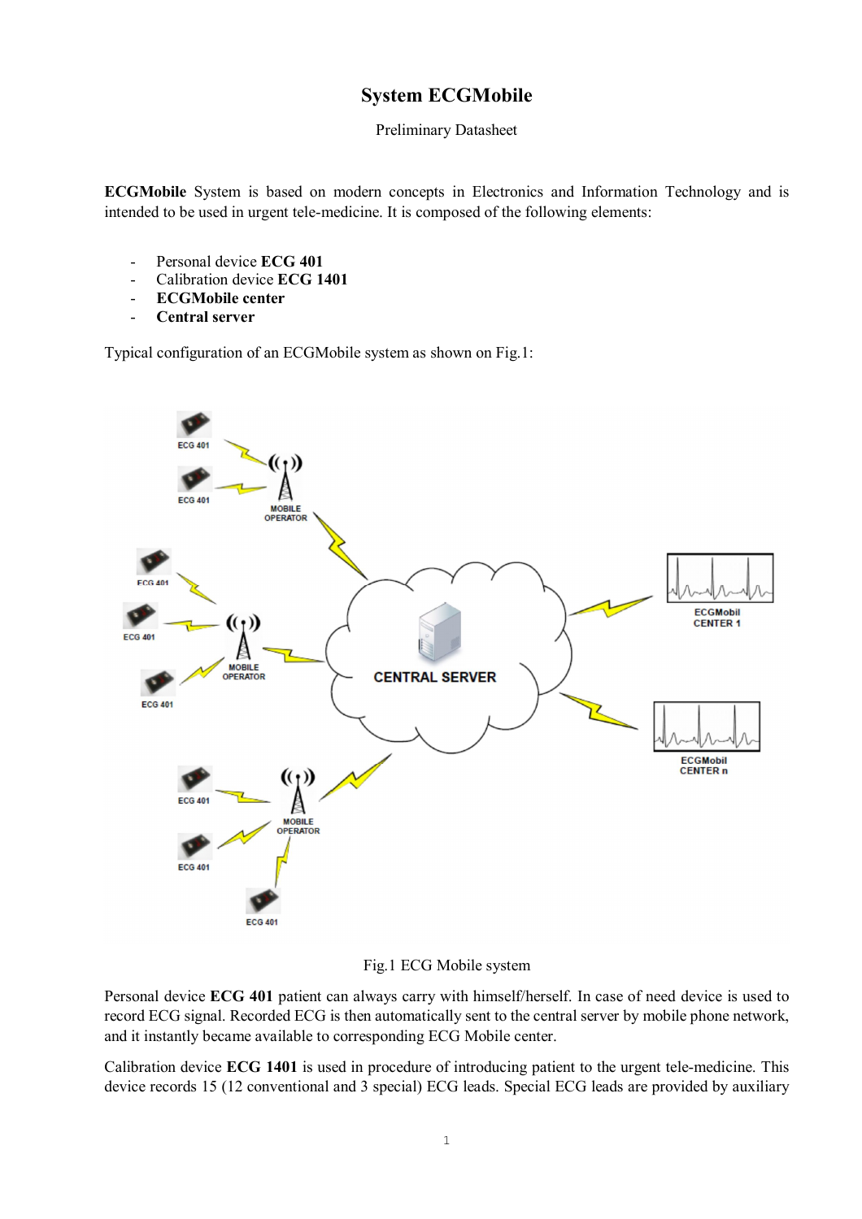## **System ECGMobile**

Preliminary Datasheet

**ECGMobile** System is based on modern concepts in Electronics and Information Technology and is intended to be used in urgent tele-medicine. It is composed of the following elements:

- Personal device **ECG 401**
- Calibration device **ECG 1401**
- **ECGMobile center**
- **Central server**

Typical configuration of an ECGMobile system as shown on Fig.1:



## Fig.1 ECG Mobile system

Personal device **ECG 401** patient can always carry with himself/herself. In case of need device is used to record ECG signal. Recorded ECG is then automatically sent to the central server by mobile phone network, and it instantly became available to corresponding ECG Mobile center.

Calibration device **ECG 1401** is used in procedure of introducing patient to the urgent tele-medicine. This device records 15 (12 conventional and 3 special) ECG leads. Special ECG leads are provided by auxiliary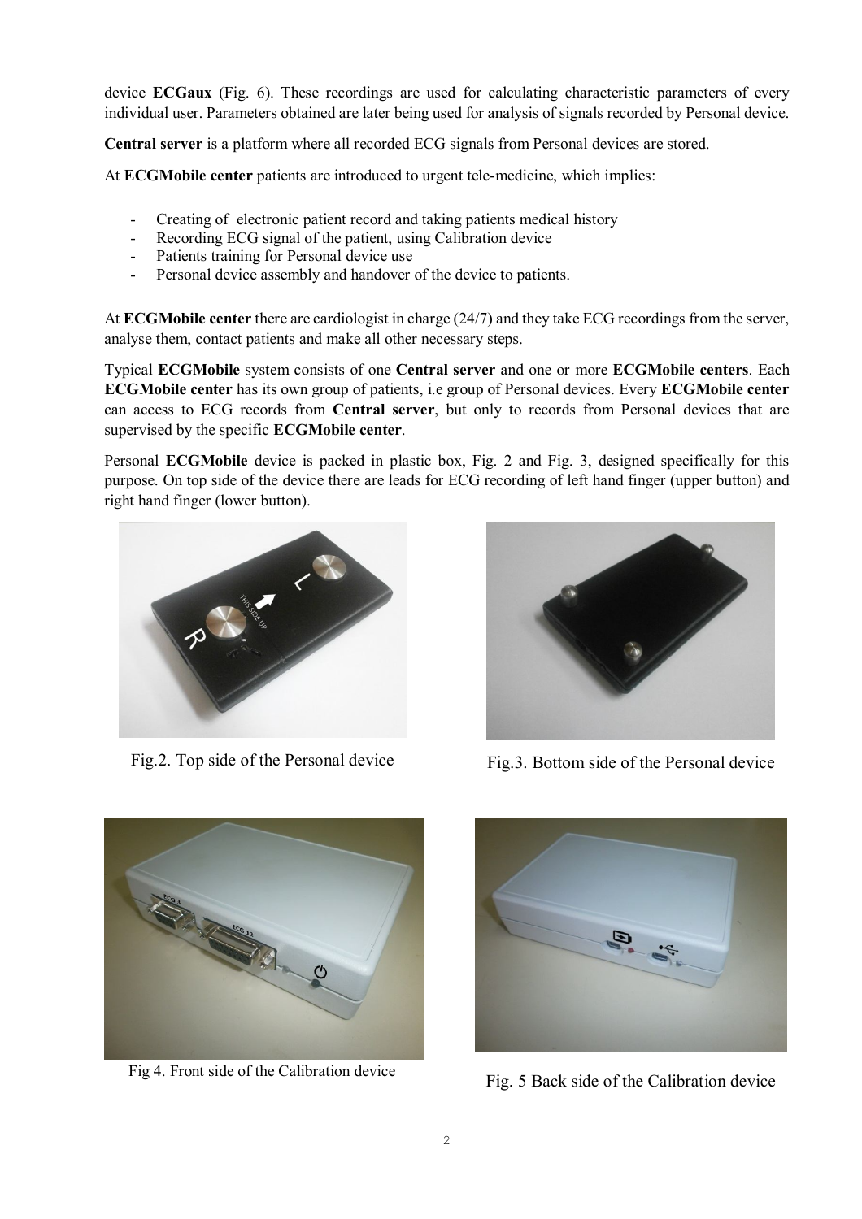device **ECGaux** (Fig. 6). These recordings are used for calculating characteristic parameters of every individual user. Parameters obtained are later being used for analysis of signals recorded by Personal device.

**Central server** is a platform where all recorded ECG signals from Personal devices are stored.

At **ECGMobile center** patients are introduced to urgent tele-medicine, which implies:

- Creating of electronic patient record and taking patients medical history
- Recording ECG signal of the patient, using Calibration device
- Patients training for Personal device use
- Personal device assembly and handover of the device to patients.

At **ECGMobile center** there are cardiologist in charge (24/7) and they take ECG recordings from the server, analyse them, contact patients and make all other necessary steps.

Typical **ECGMobile** system consists of one **Central server** and one or more **ECGMobile centers**. Each **ECGMobile center** has its own group of patients, i.e group of Personal devices. Every **ECGMobile center** can access to ECG records from **Central server**, but only to records from Personal devices that are supervised by the specific **ECGMobile center**.

Personal **ECGMobile** device is packed in plastic box, Fig. 2 and Fig. 3, designed specifically for this purpose. On top side of the device there are leads for ECG recording of left hand finger (upper button) and right hand finger (lower button).





Fig.2. Top side of the Personal device Fig.3. Bottom side of the Personal device





Fig 4. Front side of the Calibration device<br>Fig. 5 Back side of the Calibration device